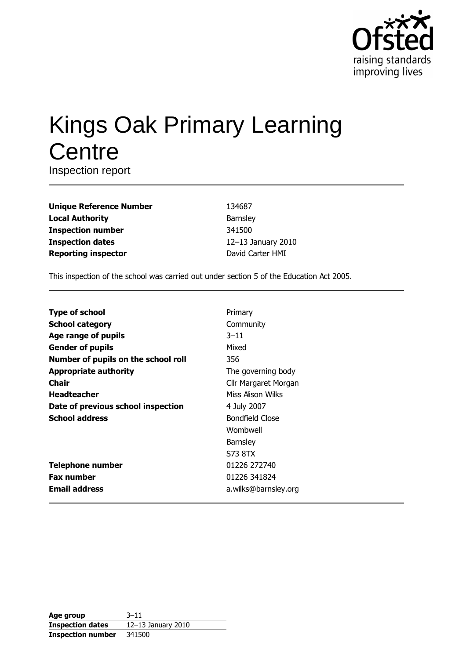

# **Kings Oak Primary Learning** Centre

Inspection report

| <b>Unique Reference Number</b> |
|--------------------------------|
| <b>Local Authority</b>         |
| <b>Inspection number</b>       |
| <b>Inspection dates</b>        |
| <b>Reporting inspector</b>     |

134687 Barnsley 341500 12-13 January 2010 David Carter HMI

This inspection of the school was carried out under section 5 of the Education Act 2005.

| <b>Type of school</b>               | Primary              |
|-------------------------------------|----------------------|
| <b>School category</b>              | Community            |
| Age range of pupils                 | $3 - 11$             |
| <b>Gender of pupils</b>             | Mixed                |
| Number of pupils on the school roll | 356                  |
| <b>Appropriate authority</b>        | The governing body   |
| Chair                               | Cllr Margaret Morgan |
| <b>Headteacher</b>                  | Miss Alison Wilks    |
| Date of previous school inspection  | 4 July 2007          |
| <b>School address</b>               | Bondfield Close      |
|                                     | Wombwell             |
|                                     | <b>Barnsley</b>      |
|                                     | S73 8TX              |
| <b>Telephone number</b>             | 01226 272740         |
| <b>Fax number</b>                   | 01226 341824         |
| <b>Email address</b>                | a.wilks@barnsley.org |

| Age group                | $3 - 11$           |
|--------------------------|--------------------|
| <b>Inspection dates</b>  | 12-13 January 2010 |
| <b>Inspection number</b> | 341500             |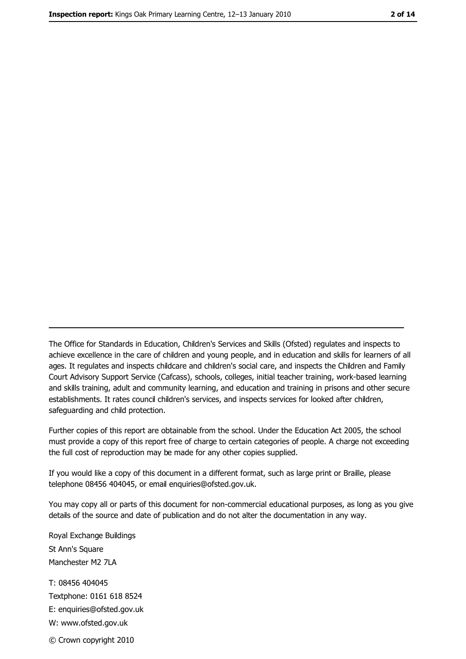The Office for Standards in Education, Children's Services and Skills (Ofsted) regulates and inspects to achieve excellence in the care of children and young people, and in education and skills for learners of all ages. It regulates and inspects childcare and children's social care, and inspects the Children and Family Court Advisory Support Service (Cafcass), schools, colleges, initial teacher training, work-based learning and skills training, adult and community learning, and education and training in prisons and other secure establishments. It rates council children's services, and inspects services for looked after children, safequarding and child protection.

Further copies of this report are obtainable from the school. Under the Education Act 2005, the school must provide a copy of this report free of charge to certain categories of people. A charge not exceeding the full cost of reproduction may be made for any other copies supplied.

If you would like a copy of this document in a different format, such as large print or Braille, please telephone 08456 404045, or email enquiries@ofsted.gov.uk.

You may copy all or parts of this document for non-commercial educational purposes, as long as you give details of the source and date of publication and do not alter the documentation in any way.

Royal Exchange Buildings St Ann's Square Manchester M2 7LA T: 08456 404045 Textphone: 0161 618 8524 E: enquiries@ofsted.gov.uk W: www.ofsted.gov.uk © Crown copyright 2010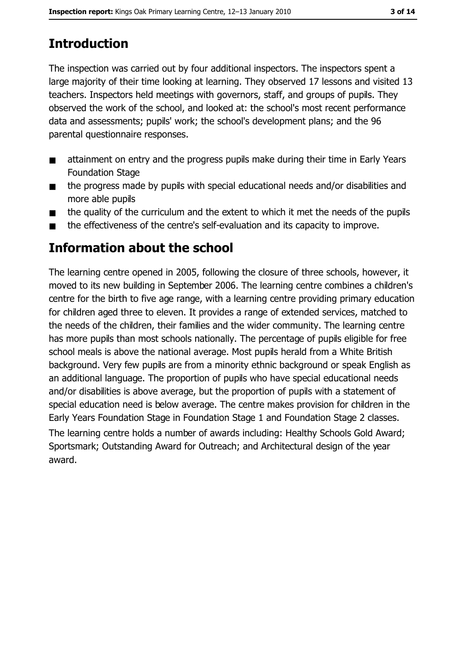# **Introduction**

The inspection was carried out by four additional inspectors. The inspectors spent a large majority of their time looking at learning. They observed 17 lessons and visited 13 teachers. Inspectors held meetings with governors, staff, and groups of pupils. They observed the work of the school, and looked at: the school's most recent performance data and assessments; pupils' work; the school's development plans; and the 96 parental questionnaire responses.

- attainment on entry and the progress pupils make during their time in Early Years  $\blacksquare$ **Foundation Stage**
- the progress made by pupils with special educational needs and/or disabilities and  $\blacksquare$ more able pupils
- the quality of the curriculum and the extent to which it met the needs of the pupils  $\blacksquare$
- the effectiveness of the centre's self-evaluation and its capacity to improve.  $\blacksquare$

## **Information about the school**

The learning centre opened in 2005, following the closure of three schools, however, it moved to its new building in September 2006. The learning centre combines a children's centre for the birth to five age range, with a learning centre providing primary education for children aged three to eleven. It provides a range of extended services, matched to the needs of the children, their families and the wider community. The learning centre has more pupils than most schools nationally. The percentage of pupils eligible for free school meals is above the national average. Most pupils herald from a White British background. Very few pupils are from a minority ethnic background or speak English as an additional language. The proportion of pupils who have special educational needs and/or disabilities is above average, but the proportion of pupils with a statement of special education need is below average. The centre makes provision for children in the Early Years Foundation Stage in Foundation Stage 1 and Foundation Stage 2 classes. The learning centre holds a number of awards including: Healthy Schools Gold Award; Sportsmark; Outstanding Award for Outreach; and Architectural design of the year award.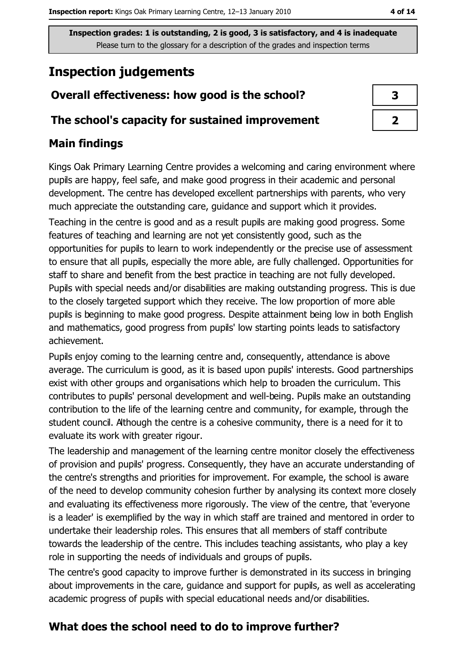## **Inspection judgements**

#### Overall effectiveness: how good is the school?

#### The school's capacity for sustained improvement

#### **Main findings**

Kings Oak Primary Learning Centre provides a welcoming and caring environment where pupils are happy, feel safe, and make good progress in their academic and personal development. The centre has developed excellent partnerships with parents, who very much appreciate the outstanding care, guidance and support which it provides. Teaching in the centre is good and as a result pupils are making good progress. Some features of teaching and learning are not yet consistently good, such as the opportunities for pupils to learn to work independently or the precise use of assessment to ensure that all pupils, especially the more able, are fully challenged. Opportunities for staff to share and benefit from the best practice in teaching are not fully developed. Pupils with special needs and/or disabilities are making outstanding progress. This is due to the closely targeted support which they receive. The low proportion of more able pupils is beginning to make good progress. Despite attainment being low in both English and mathematics, good progress from pupils' low starting points leads to satisfactory achievement.

Pupils enjoy coming to the learning centre and, consequently, attendance is above average. The curriculum is good, as it is based upon pupils' interests. Good partnerships exist with other groups and organisations which help to broaden the curriculum. This contributes to pupils' personal development and well-being. Pupils make an outstanding contribution to the life of the learning centre and community, for example, through the student council. Athough the centre is a cohesive community, there is a need for it to evaluate its work with greater rigour.

The leadership and management of the learning centre monitor closely the effectiveness of provision and pupils' progress. Consequently, they have an accurate understanding of the centre's strengths and priorities for improvement. For example, the school is aware of the need to develop community cohesion further by analysing its context more closely and evaluating its effectiveness more rigorously. The view of the centre, that 'everyone is a leader' is exemplified by the way in which staff are trained and mentored in order to undertake their leadership roles. This ensures that all members of staff contribute towards the leadership of the centre. This includes teaching assistants, who play a key role in supporting the needs of individuals and groups of pupils.

The centre's good capacity to improve further is demonstrated in its success in bringing about improvements in the care, guidance and support for pupils, as well as accelerating academic progress of pupils with special educational needs and/or disabilities.

#### What does the school need to do to improve further?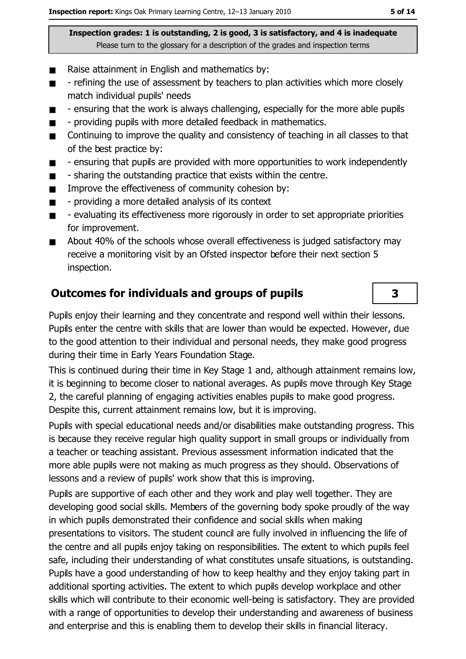- Raise attainment in English and mathematics by:  $\blacksquare$
- refining the use of assessment by teachers to plan activities which more closely  $\blacksquare$ match individual pupils' needs
- ensuring that the work is always challenging, especially for the more able pupils  $\blacksquare$
- providing pupils with more detailed feedback in mathematics.  $\blacksquare$
- Continuing to improve the quality and consistency of teaching in all classes to that  $\blacksquare$ of the best practice by:
- ensuring that pupils are provided with more opportunities to work independently  $\blacksquare$
- sharing the outstanding practice that exists within the centre.  $\blacksquare$
- Improve the effectiveness of community cohesion by:  $\blacksquare$
- providing a more detailed analysis of its context  $\blacksquare$
- evaluating its effectiveness more rigorously in order to set appropriate priorities  $\blacksquare$ for improvement.
- About 40% of the schools whose overall effectiveness is judged satisfactory may  $\blacksquare$ receive a monitoring visit by an Ofsted inspector before their next section 5 inspection.

#### **Outcomes for individuals and groups of pupils**

Pupils enjoy their learning and they concentrate and respond well within their lessons. Pupils enter the centre with skills that are lower than would be expected. However, due to the good attention to their individual and personal needs, they make good progress during their time in Early Years Foundation Stage.

This is continued during their time in Key Stage 1 and, although attainment remains low, it is beginning to become closer to national averages. As pupils move through Key Stage 2, the careful planning of engaging activities enables pupils to make good progress. Despite this, current attainment remains low, but it is improving.

Pupils with special educational needs and/or disabilities make outstanding progress. This is because they receive regular high quality support in small groups or individually from a teacher or teaching assistant. Previous assessment information indicated that the more able pupils were not making as much progress as they should. Observations of lessons and a review of pupils' work show that this is improving.

Pupils are supportive of each other and they work and play well together. They are developing good social skills. Members of the governing body spoke proudly of the way in which pupils demonstrated their confidence and social skills when making presentations to visitors. The student council are fully involved in influencing the life of the centre and all pupils eniov taking on responsibilities. The extent to which pupils feel safe, including their understanding of what constitutes unsafe situations, is outstanding. Pupils have a good understanding of how to keep healthy and they enjoy taking part in additional sporting activities. The extent to which pupils develop workplace and other skills which will contribute to their economic well-being is satisfactory. They are provided with a range of opportunities to develop their understanding and awareness of business and enterprise and this is enabling them to develop their skills in financial literacy.

3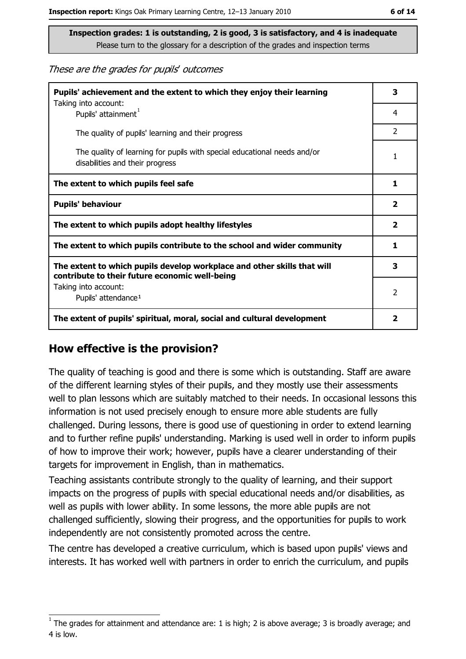These are the grades for pupils' outcomes

| Pupils' achievement and the extent to which they enjoy their learning<br>Taking into account:                             | 3                       |
|---------------------------------------------------------------------------------------------------------------------------|-------------------------|
| Pupils' attainment <sup>1</sup>                                                                                           | 4                       |
| The quality of pupils' learning and their progress                                                                        | $\overline{2}$          |
| The quality of learning for pupils with special educational needs and/or<br>disabilities and their progress               | 1                       |
| The extent to which pupils feel safe                                                                                      | 1                       |
| <b>Pupils' behaviour</b>                                                                                                  | $\mathbf{2}$            |
| The extent to which pupils adopt healthy lifestyles                                                                       | $\overline{\mathbf{2}}$ |
| The extent to which pupils contribute to the school and wider community                                                   | 1.                      |
| The extent to which pupils develop workplace and other skills that will<br>contribute to their future economic well-being | 3                       |
| Taking into account:<br>Pupils' attendance <sup>1</sup>                                                                   | 2                       |
| The extent of pupils' spiritual, moral, social and cultural development                                                   | $\overline{\mathbf{2}}$ |

#### How effective is the provision?

The quality of teaching is good and there is some which is outstanding. Staff are aware of the different learning styles of their pupils, and they mostly use their assessments well to plan lessons which are suitably matched to their needs. In occasional lessons this information is not used precisely enough to ensure more able students are fully challenged. During lessons, there is good use of guestioning in order to extend learning and to further refine pupils' understanding. Marking is used well in order to inform pupils of how to improve their work; however, pupils have a clearer understanding of their targets for improvement in English, than in mathematics.

Teaching assistants contribute strongly to the quality of learning, and their support impacts on the progress of pupils with special educational needs and/or disabilities, as well as pupils with lower ability. In some lessons, the more able pupils are not challenged sufficiently, slowing their progress, and the opportunities for pupils to work independently are not consistently promoted across the centre.

The centre has developed a creative curriculum, which is based upon pupils' views and interests. It has worked well with partners in order to enrich the curriculum, and pupils

The grades for attainment and attendance are: 1 is high; 2 is above average; 3 is broadly average; and 4 is low.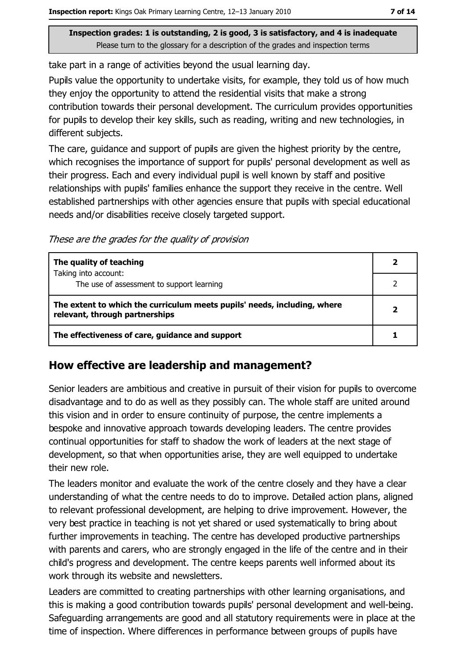take part in a range of activities beyond the usual learning day.

Pupils value the opportunity to undertake visits, for example, they told us of how much they enjoy the opportunity to attend the residential visits that make a strong contribution towards their personal development. The curriculum provides opportunities for pupils to develop their key skills, such as reading, writing and new technologies, in different subjects.

The care, guidance and support of pupils are given the highest priority by the centre, which recognises the importance of support for pupils' personal development as well as their progress. Each and every individual pupil is well known by staff and positive relationships with pupils' families enhance the support they receive in the centre. Well established partnerships with other agencies ensure that pupils with special educational needs and/or disabilities receive closely targeted support.

These are the grades for the quality of provision

| The quality of teaching                                                                                    |  |
|------------------------------------------------------------------------------------------------------------|--|
| Taking into account:<br>The use of assessment to support learning                                          |  |
| The extent to which the curriculum meets pupils' needs, including, where<br>relevant, through partnerships |  |
| The effectiveness of care, guidance and support                                                            |  |

#### How effective are leadership and management?

Senior leaders are ambitious and creative in pursuit of their vision for pupils to overcome disadvantage and to do as well as they possibly can. The whole staff are united around this vision and in order to ensure continuity of purpose, the centre implements a bespoke and innovative approach towards developing leaders. The centre provides continual opportunities for staff to shadow the work of leaders at the next stage of development, so that when opportunities arise, they are well equipped to undertake their new role.

The leaders monitor and evaluate the work of the centre closely and they have a clear understanding of what the centre needs to do to improve. Detailed action plans, aligned to relevant professional development, are helping to drive improvement. However, the very best practice in teaching is not yet shared or used systematically to bring about further improvements in teaching. The centre has developed productive partnerships with parents and carers, who are strongly engaged in the life of the centre and in their child's progress and development. The centre keeps parents well informed about its work through its website and newsletters.

Leaders are committed to creating partnerships with other learning organisations, and this is making a good contribution towards pupils' personal development and well-being. Safeguarding arrangements are good and all statutory requirements were in place at the time of inspection. Where differences in performance between groups of pupils have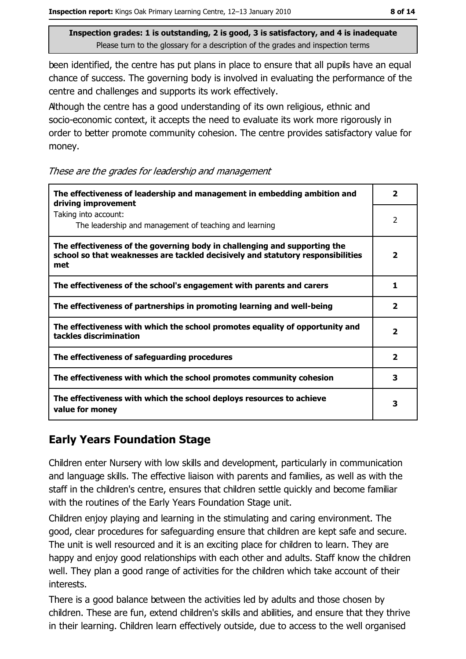been identified, the centre has put plans in place to ensure that all pupils have an equal chance of success. The governing body is involved in evaluating the performance of the centre and challenges and supports its work effectively.

Athough the centre has a good understanding of its own religious, ethnic and socio-economic context, it accepts the need to evaluate its work more rigorously in order to better promote community cohesion. The centre provides satisfactory value for money.

These are the grades for leadership and management

| The effectiveness of leadership and management in embedding ambition and<br>driving improvement                                                                     | 2                       |
|---------------------------------------------------------------------------------------------------------------------------------------------------------------------|-------------------------|
| Taking into account:<br>The leadership and management of teaching and learning                                                                                      | 2                       |
| The effectiveness of the governing body in challenging and supporting the<br>school so that weaknesses are tackled decisively and statutory responsibilities<br>met | $\overline{\mathbf{2}}$ |
| The effectiveness of the school's engagement with parents and carers                                                                                                | 1                       |
| The effectiveness of partnerships in promoting learning and well-being                                                                                              | $\overline{\mathbf{2}}$ |
| The effectiveness with which the school promotes equality of opportunity and<br>tackles discrimination                                                              | $\mathbf{2}$            |
| The effectiveness of safeguarding procedures                                                                                                                        | $\overline{\mathbf{2}}$ |
| The effectiveness with which the school promotes community cohesion                                                                                                 | 3                       |
| The effectiveness with which the school deploys resources to achieve<br>value for money                                                                             | 3                       |

#### **Early Years Foundation Stage**

Children enter Nursery with low skills and development, particularly in communication and language skills. The effective liaison with parents and families, as well as with the staff in the children's centre, ensures that children settle quickly and become familiar with the routines of the Early Years Foundation Stage unit.

Children enjoy playing and learning in the stimulating and caring environment. The good, clear procedures for safeguarding ensure that children are kept safe and secure. The unit is well resourced and it is an exciting place for children to learn. They are happy and enjoy good relationships with each other and adults. Staff know the children well. They plan a good range of activities for the children which take account of their interests.

There is a good balance between the activities led by adults and those chosen by children. These are fun, extend children's skills and abilities, and ensure that they thrive in their learning. Children learn effectively outside, due to access to the well organised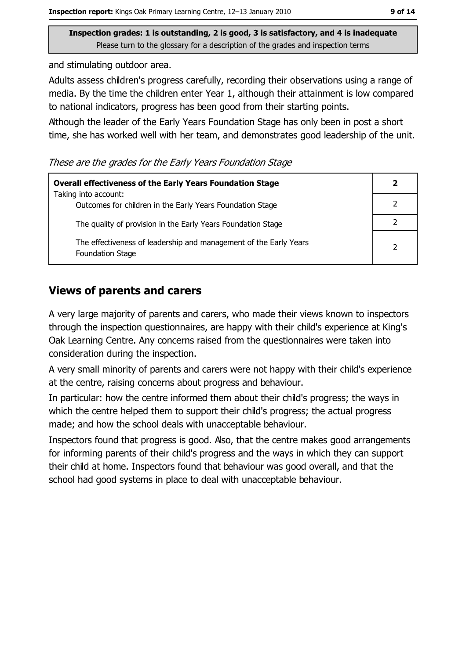and stimulating outdoor area.

Adults assess children's progress carefully, recording their observations using a range of media. By the time the children enter Year 1, although their attainment is low compared to national indicators, progress has been good from their starting points.

Athough the leader of the Early Years Foundation Stage has only been in post a short time, she has worked well with her team, and demonstrates good leadership of the unit.

These are the grades for the Early Years Foundation Stage

| <b>Overall effectiveness of the Early Years Foundation Stage</b><br>Taking into account:     | 2 |
|----------------------------------------------------------------------------------------------|---|
| Outcomes for children in the Early Years Foundation Stage                                    |   |
| The quality of provision in the Early Years Foundation Stage                                 |   |
| The effectiveness of leadership and management of the Early Years<br><b>Foundation Stage</b> | 2 |

#### **Views of parents and carers**

A very large majority of parents and carers, who made their views known to inspectors through the inspection questionnaires, are happy with their child's experience at King's Oak Learning Centre. Any concerns raised from the questionnaires were taken into consideration during the inspection.

A very small minority of parents and carers were not happy with their child's experience at the centre, raising concerns about progress and behaviour.

In particular: how the centre informed them about their child's progress; the ways in which the centre helped them to support their child's progress; the actual progress made; and how the school deals with unacceptable behaviour.

Inspectors found that progress is good. Also, that the centre makes good arrangements for informing parents of their child's progress and the ways in which they can support their child at home. Inspectors found that behaviour was good overall, and that the school had good systems in place to deal with unacceptable behaviour.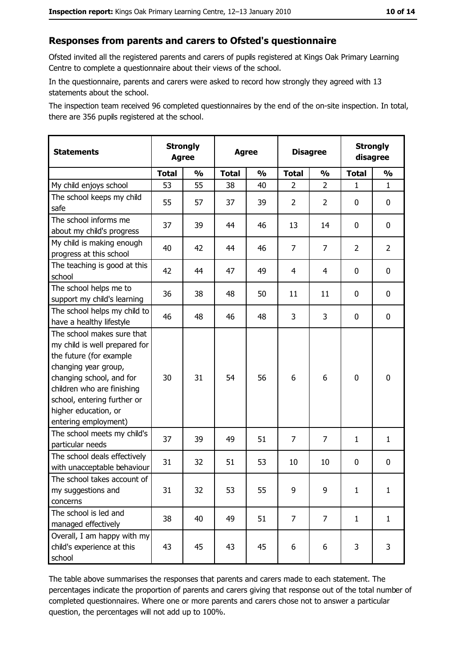#### Responses from parents and carers to Ofsted's questionnaire

Ofsted invited all the registered parents and carers of pupils registered at Kings Oak Primary Learning Centre to complete a questionnaire about their views of the school.

In the questionnaire, parents and carers were asked to record how strongly they agreed with 13 statements about the school.

The inspection team received 96 completed questionnaires by the end of the on-site inspection. In total, there are 356 pupils registered at the school.

| <b>Statements</b>                                                                                                                                                                                                                                       | <b>Strongly</b><br><b>Agree</b> |               | <b>Agree</b> |               | <b>Disagree</b> |                | <b>Strongly</b><br>disagree |                  |
|---------------------------------------------------------------------------------------------------------------------------------------------------------------------------------------------------------------------------------------------------------|---------------------------------|---------------|--------------|---------------|-----------------|----------------|-----------------------------|------------------|
|                                                                                                                                                                                                                                                         | <b>Total</b>                    | $\frac{1}{2}$ | <b>Total</b> | $\frac{0}{0}$ | <b>Total</b>    | $\frac{0}{0}$  | <b>Total</b>                | $\frac{1}{2}$    |
| My child enjoys school                                                                                                                                                                                                                                  | 53                              | 55            | 38           | 40            | $\overline{2}$  | $\overline{2}$ | 1                           | $\mathbf{1}$     |
| The school keeps my child<br>safe                                                                                                                                                                                                                       | 55                              | 57            | 37           | 39            | $\overline{2}$  | 2              | 0                           | 0                |
| The school informs me<br>about my child's progress                                                                                                                                                                                                      | 37                              | 39            | 44           | 46            | 13              | 14             | 0                           | 0                |
| My child is making enough<br>progress at this school                                                                                                                                                                                                    | 40                              | 42            | 44           | 46            | 7               | 7              | 2                           | $\overline{2}$   |
| The teaching is good at this<br>school                                                                                                                                                                                                                  | 42                              | 44            | 47           | 49            | 4               | 4              | 0                           | 0                |
| The school helps me to<br>support my child's learning                                                                                                                                                                                                   | 36                              | 38            | 48           | 50            | 11              | 11             | 0                           | $\mathbf 0$      |
| The school helps my child to<br>have a healthy lifestyle                                                                                                                                                                                                | 46                              | 48            | 46           | 48            | 3               | 3              | 0                           | 0                |
| The school makes sure that<br>my child is well prepared for<br>the future (for example<br>changing year group,<br>changing school, and for<br>children who are finishing<br>school, entering further or<br>higher education, or<br>entering employment) | 30                              | 31            | 54           | 56            | 6               | 6              | $\mathbf 0$                 | $\boldsymbol{0}$ |
| The school meets my child's<br>particular needs                                                                                                                                                                                                         | 37                              | 39            | 49           | 51            | $\overline{7}$  | $\overline{7}$ | 1                           | $\mathbf{1}$     |
| The school deals effectively<br>with unacceptable behaviour                                                                                                                                                                                             | 31                              | 32            | 51           | 53            | 10              | 10             | 0                           | $\mathbf 0$      |
| The school takes account of<br>my suggestions and<br>concerns                                                                                                                                                                                           | 31                              | 32            | 53           | 55            | 9               | 9              | 1                           | $\mathbf{1}$     |
| The school is led and<br>managed effectively                                                                                                                                                                                                            | 38                              | 40            | 49           | 51            | $\overline{7}$  | $\overline{7}$ | $\mathbf{1}$                | $\mathbf{1}$     |
| Overall, I am happy with my<br>child's experience at this<br>school                                                                                                                                                                                     | 43                              | 45            | 43           | 45            | 6               | 6              | 3                           | 3                |

The table above summarises the responses that parents and carers made to each statement. The percentages indicate the proportion of parents and carers giving that response out of the total number of completed questionnaires. Where one or more parents and carers chose not to answer a particular question, the percentages will not add up to 100%.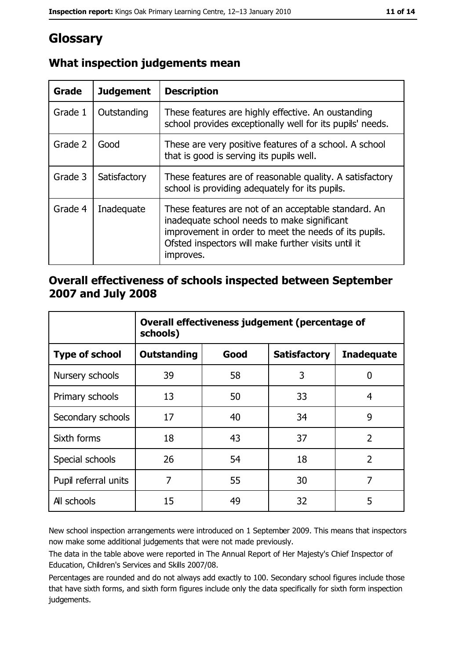## Glossary

| Grade   | <b>Judgement</b> | <b>Description</b>                                                                                                                                                                                                               |  |
|---------|------------------|----------------------------------------------------------------------------------------------------------------------------------------------------------------------------------------------------------------------------------|--|
| Grade 1 | Outstanding      | These features are highly effective. An oustanding<br>school provides exceptionally well for its pupils' needs.                                                                                                                  |  |
| Grade 2 | Good             | These are very positive features of a school. A school<br>that is good is serving its pupils well.                                                                                                                               |  |
| Grade 3 | Satisfactory     | These features are of reasonable quality. A satisfactory<br>school is providing adequately for its pupils.                                                                                                                       |  |
| Grade 4 | Inadequate       | These features are not of an acceptable standard. An<br>inadequate school needs to make significant<br>improvement in order to meet the needs of its pupils.<br>Ofsted inspectors will make further visits until it<br>improves. |  |

#### What inspection judgements mean

#### Overall effectiveness of schools inspected between September 2007 and July 2008

|                       | Overall effectiveness judgement (percentage of<br>schools) |      |                     |                   |
|-----------------------|------------------------------------------------------------|------|---------------------|-------------------|
| <b>Type of school</b> | Outstanding                                                | Good | <b>Satisfactory</b> | <b>Inadequate</b> |
| Nursery schools       | 39                                                         | 58   | 3                   | 0                 |
| Primary schools       | 13                                                         | 50   | 33                  | 4                 |
| Secondary schools     | 17                                                         | 40   | 34                  | 9                 |
| Sixth forms           | 18                                                         | 43   | 37                  | $\overline{2}$    |
| Special schools       | 26                                                         | 54   | 18                  | $\overline{2}$    |
| Pupil referral units  | 7                                                          | 55   | 30                  | 7                 |
| All schools           | 15                                                         | 49   | 32                  | 5                 |

New school inspection arrangements were introduced on 1 September 2009. This means that inspectors now make some additional judgements that were not made previously.

The data in the table above were reported in The Annual Report of Her Majesty's Chief Inspector of Education, Children's Services and Skills 2007/08.

Percentages are rounded and do not always add exactly to 100. Secondary school figures include those that have sixth forms, and sixth form figures include only the data specifically for sixth form inspection judgements.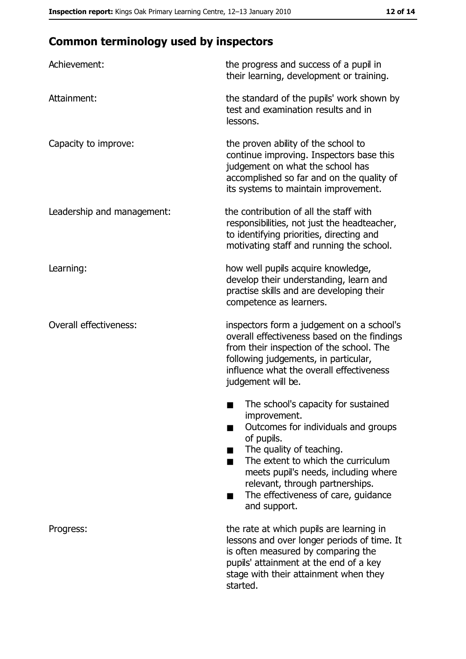## **Common terminology used by inspectors**

| Achievement:                  | the progress and success of a pupil in<br>their learning, development or training.                                                                                                                                                                                                                           |
|-------------------------------|--------------------------------------------------------------------------------------------------------------------------------------------------------------------------------------------------------------------------------------------------------------------------------------------------------------|
| Attainment:                   | the standard of the pupils' work shown by<br>test and examination results and in<br>lessons.                                                                                                                                                                                                                 |
| Capacity to improve:          | the proven ability of the school to<br>continue improving. Inspectors base this<br>judgement on what the school has<br>accomplished so far and on the quality of<br>its systems to maintain improvement.                                                                                                     |
| Leadership and management:    | the contribution of all the staff with<br>responsibilities, not just the headteacher,<br>to identifying priorities, directing and<br>motivating staff and running the school.                                                                                                                                |
| Learning:                     | how well pupils acquire knowledge,<br>develop their understanding, learn and<br>practise skills and are developing their<br>competence as learners.                                                                                                                                                          |
| <b>Overall effectiveness:</b> | inspectors form a judgement on a school's<br>overall effectiveness based on the findings<br>from their inspection of the school. The<br>following judgements, in particular,<br>influence what the overall effectiveness<br>judgement will be.                                                               |
|                               | The school's capacity for sustained<br>improvement.<br>Outcomes for individuals and groups<br>of pupils.<br>The quality of teaching.<br>The extent to which the curriculum<br>meets pupil's needs, including where<br>relevant, through partnerships.<br>The effectiveness of care, guidance<br>and support. |
| Progress:                     | the rate at which pupils are learning in<br>lessons and over longer periods of time. It<br>is often measured by comparing the<br>pupils' attainment at the end of a key<br>stage with their attainment when they<br>started.                                                                                 |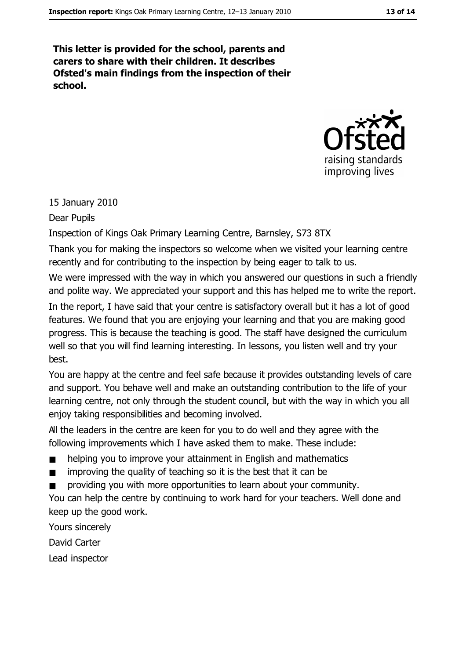This letter is provided for the school, parents and carers to share with their children. It describes Ofsted's main findings from the inspection of their school.



15 January 2010

Dear Pupils

Inspection of Kings Oak Primary Learning Centre, Barnsley, S73 8TX

Thank you for making the inspectors so welcome when we visited your learning centre recently and for contributing to the inspection by being eager to talk to us.

We were impressed with the way in which you answered our questions in such a friendly and polite way. We appreciated your support and this has helped me to write the report.

In the report, I have said that your centre is satisfactory overall but it has a lot of good features. We found that you are enjoying your learning and that you are making good progress. This is because the teaching is good. The staff have designed the curriculum well so that you will find learning interesting. In lessons, you listen well and try your best.

You are happy at the centre and feel safe because it provides outstanding levels of care and support. You behave well and make an outstanding contribution to the life of your learning centre, not only through the student council, but with the way in which you all enjoy taking responsibilities and becoming involved.

All the leaders in the centre are keen for you to do well and they agree with the following improvements which I have asked them to make. These include:

- helping you to improve your attainment in English and mathematics  $\blacksquare$
- improving the quality of teaching so it is the best that it can be  $\blacksquare$
- providing you with more opportunities to learn about your community.

You can help the centre by continuing to work hard for your teachers. Well done and keep up the good work.

Yours sincerely David Carter Lead inspector